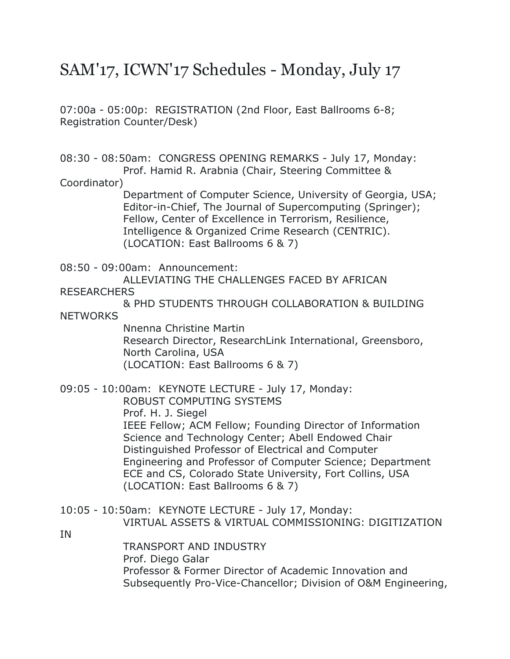# SAM'17, ICWN'17 Schedules - Monday, July 17

07:00a - 05:00p: REGISTRATION (2nd Floor, East Ballrooms 6-8; Registration Counter/Desk)

08:30 - 08:50am: CONGRESS OPENING REMARKS - July 17, Monday: Prof. Hamid R. Arabnia (Chair, Steering Committee &

#### Coordinator)

 Department of Computer Science, University of Georgia, USA; Editor-in-Chief, The Journal of Supercomputing (Springer); Fellow, Center of Excellence in Terrorism, Resilience, Intelligence & Organized Crime Research (CENTRIC). (LOCATION: East Ballrooms 6 & 7)

08:50 - 09:00am: Announcement:

ALLEVIATING THE CHALLENGES FACED BY AFRICAN

RESEARCHERS

 & PHD STUDENTS THROUGH COLLABORATION & BUILDING **NFTWORKS** 

> Nnenna Christine Martin Research Director, ResearchLink International, Greensboro, North Carolina, USA (LOCATION: East Ballrooms 6 & 7)

09:05 - 10:00am: KEYNOTE LECTURE - July 17, Monday: ROBUST COMPUTING SYSTEMS Prof. H. J. Siegel IEEE Fellow; ACM Fellow; Founding Director of Information Science and Technology Center; Abell Endowed Chair Distinguished Professor of Electrical and Computer Engineering and Professor of Computer Science; Department ECE and CS, Colorado State University, Fort Collins, USA (LOCATION: East Ballrooms 6 & 7)

- 10:05 10:50am: KEYNOTE LECTURE July 17, Monday: VIRTUAL ASSETS & VIRTUAL COMMISSIONING: DIGITIZATION
- IN

 TRANSPORT AND INDUSTRY Prof. Diego Galar Professor & Former Director of Academic Innovation and Subsequently Pro-Vice-Chancellor; Division of O&M Engineering,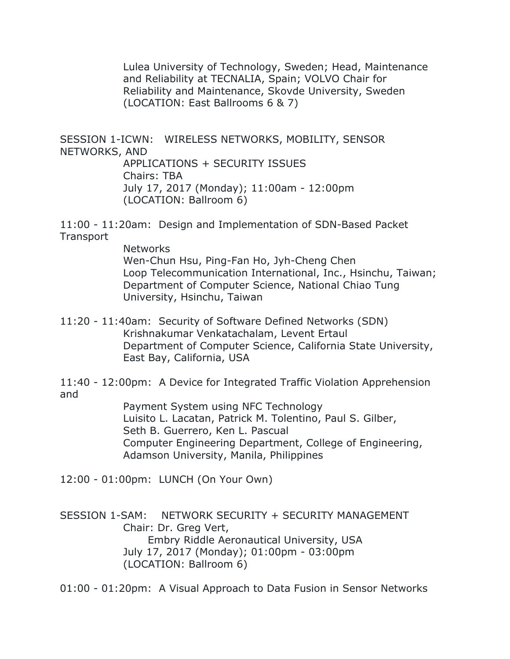Lulea University of Technology, Sweden; Head, Maintenance and Reliability at TECNALIA, Spain; VOLVO Chair for Reliability and Maintenance, Skovde University, Sweden (LOCATION: East Ballrooms 6 & 7)

SESSION 1-ICWN: WIRELESS NETWORKS, MOBILITY, SENSOR NETWORKS, AND

> APPLICATIONS + SECURITY ISSUES Chairs: TBA July 17, 2017 (Monday); 11:00am - 12:00pm (LOCATION: Ballroom 6)

11:00 - 11:20am: Design and Implementation of SDN-Based Packet **Transport** 

> Networks Wen-Chun Hsu, Ping-Fan Ho, Jyh-Cheng Chen Loop Telecommunication International, Inc., Hsinchu, Taiwan; Department of Computer Science, National Chiao Tung University, Hsinchu, Taiwan

11:20 - 11:40am: Security of Software Defined Networks (SDN) Krishnakumar Venkatachalam, Levent Ertaul Department of Computer Science, California State University, East Bay, California, USA

11:40 - 12:00pm: A Device for Integrated Traffic Violation Apprehension and

 Payment System using NFC Technology Luisito L. Lacatan, Patrick M. Tolentino, Paul S. Gilber, Seth B. Guerrero, Ken L. Pascual Computer Engineering Department, College of Engineering, Adamson University, Manila, Philippines

12:00 - 01:00pm: LUNCH (On Your Own)

SESSION 1-SAM: NETWORK SECURITY + SECURITY MANAGEMENT Chair: Dr. Greg Vert, Embry Riddle Aeronautical University, USA July 17, 2017 (Monday); 01:00pm - 03:00pm (LOCATION: Ballroom 6)

01:00 - 01:20pm: A Visual Approach to Data Fusion in Sensor Networks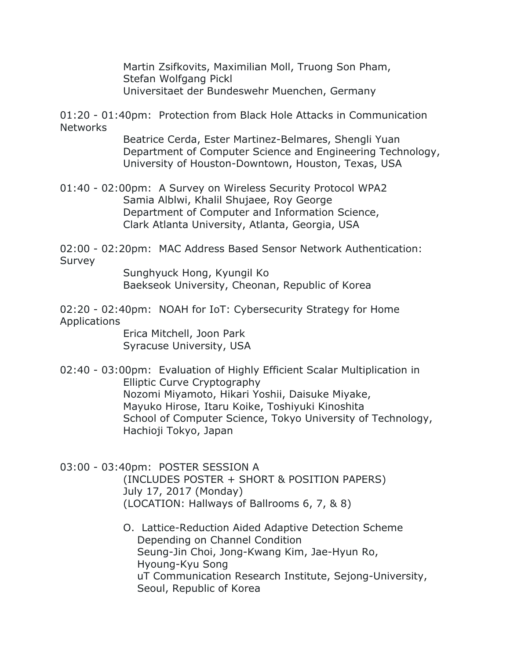Martin Zsifkovits, Maximilian Moll, Truong Son Pham, Stefan Wolfgang Pickl Universitaet der Bundeswehr Muenchen, Germany

01:20 - 01:40pm: Protection from Black Hole Attacks in Communication **Networks** 

> Beatrice Cerda, Ester Martinez-Belmares, Shengli Yuan Department of Computer Science and Engineering Technology, University of Houston-Downtown, Houston, Texas, USA

01:40 - 02:00pm: A Survey on Wireless Security Protocol WPA2 Samia Alblwi, Khalil Shujaee, Roy George Department of Computer and Information Science, Clark Atlanta University, Atlanta, Georgia, USA

02:00 - 02:20pm: MAC Address Based Sensor Network Authentication: Survey

 Sunghyuck Hong, Kyungil Ko Baekseok University, Cheonan, Republic of Korea

02:20 - 02:40pm: NOAH for IoT: Cybersecurity Strategy for Home Applications

> Erica Mitchell, Joon Park Syracuse University, USA

02:40 - 03:00pm: Evaluation of Highly Efficient Scalar Multiplication in Elliptic Curve Cryptography Nozomi Miyamoto, Hikari Yoshii, Daisuke Miyake, Mayuko Hirose, Itaru Koike, Toshiyuki Kinoshita School of Computer Science, Tokyo University of Technology, Hachioji Tokyo, Japan

03:00 - 03:40pm: POSTER SESSION A

 (INCLUDES POSTER + SHORT & POSITION PAPERS) July 17, 2017 (Monday) (LOCATION: Hallways of Ballrooms 6, 7, & 8)

 O. Lattice-Reduction Aided Adaptive Detection Scheme Depending on Channel Condition Seung-Jin Choi, Jong-Kwang Kim, Jae-Hyun Ro, Hyoung-Kyu Song uT Communication Research Institute, Sejong-University, Seoul, Republic of Korea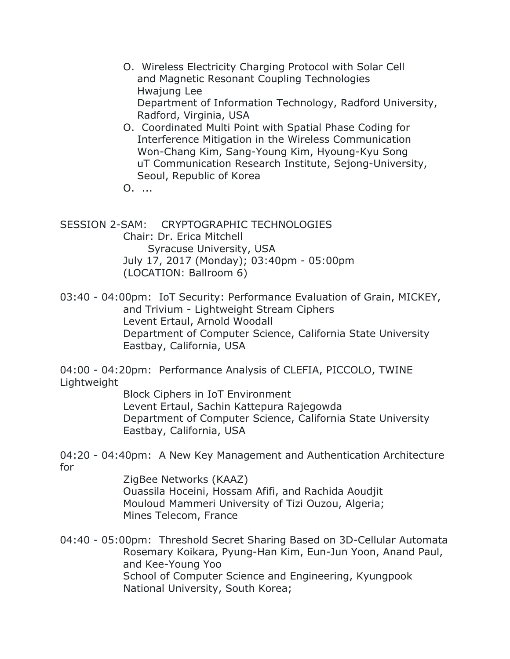- O. Wireless Electricity Charging Protocol with Solar Cell and Magnetic Resonant Coupling Technologies Hwajung Lee Department of Information Technology, Radford University, Radford, Virginia, USA
- O. Coordinated Multi Point with Spatial Phase Coding for Interference Mitigation in the Wireless Communication Won-Chang Kim, Sang-Young Kim, Hyoung-Kyu Song uT Communication Research Institute, Sejong-University, Seoul, Republic of Korea

O. ...

SESSION 2-SAM: CRYPTOGRAPHIC TECHNOLOGIES Chair: Dr. Erica Mitchell Syracuse University, USA July 17, 2017 (Monday); 03:40pm - 05:00pm (LOCATION: Ballroom 6)

03:40 - 04:00pm: IoT Security: Performance Evaluation of Grain, MICKEY, and Trivium - Lightweight Stream Ciphers Levent Ertaul, Arnold Woodall Department of Computer Science, California State University Eastbay, California, USA

04:00 - 04:20pm: Performance Analysis of CLEFIA, PICCOLO, TWINE Lightweight

 Block Ciphers in IoT Environment Levent Ertaul, Sachin Kattepura Rajegowda Department of Computer Science, California State University Eastbay, California, USA

04:20 - 04:40pm: A New Key Management and Authentication Architecture for

> ZigBee Networks (KAAZ) Ouassila Hoceini, Hossam Afifi, and Rachida Aoudjit Mouloud Mammeri University of Tizi Ouzou, Algeria; Mines Telecom, France

04:40 - 05:00pm: Threshold Secret Sharing Based on 3D-Cellular Automata Rosemary Koikara, Pyung-Han Kim, Eun-Jun Yoon, Anand Paul, and Kee-Young Yoo School of Computer Science and Engineering, Kyungpook National University, South Korea;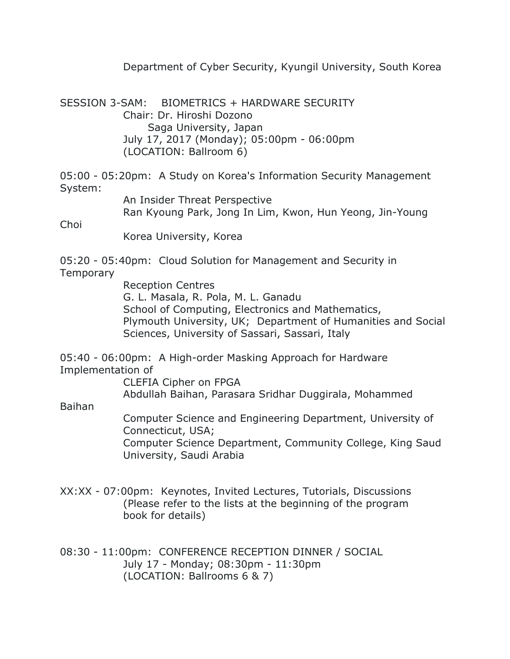Department of Cyber Security, Kyungil University, South Korea

SESSION 3-SAM: BIOMETRICS + HARDWARE SECURITY Chair: Dr. Hiroshi Dozono Saga University, Japan July 17, 2017 (Monday); 05:00pm - 06:00pm (LOCATION: Ballroom 6)

05:00 - 05:20pm: A Study on Korea's Information Security Management System:

 An Insider Threat Perspective Ran Kyoung Park, Jong In Lim, Kwon, Hun Yeong, Jin-Young

Choi

Korea University, Korea

05:20 - 05:40pm: Cloud Solution for Management and Security in **Temporary** 

> Reception Centres G. L. Masala, R. Pola, M. L. Ganadu School of Computing, Electronics and Mathematics, Plymouth University, UK; Department of Humanities and Social Sciences, University of Sassari, Sassari, Italy

05:40 - 06:00pm: A High-order Masking Approach for Hardware Implementation of

 CLEFIA Cipher on FPGA Abdullah Baihan, Parasara Sridhar Duggirala, Mohammed

Baihan

 Computer Science and Engineering Department, University of Connecticut, USA; Computer Science Department, Community College, King Saud University, Saudi Arabia

XX:XX - 07:00pm: Keynotes, Invited Lectures, Tutorials, Discussions (Please refer to the lists at the beginning of the program book for details)

08:30 - 11:00pm: CONFERENCE RECEPTION DINNER / SOCIAL July 17 - Monday; 08:30pm - 11:30pm (LOCATION: Ballrooms 6 & 7)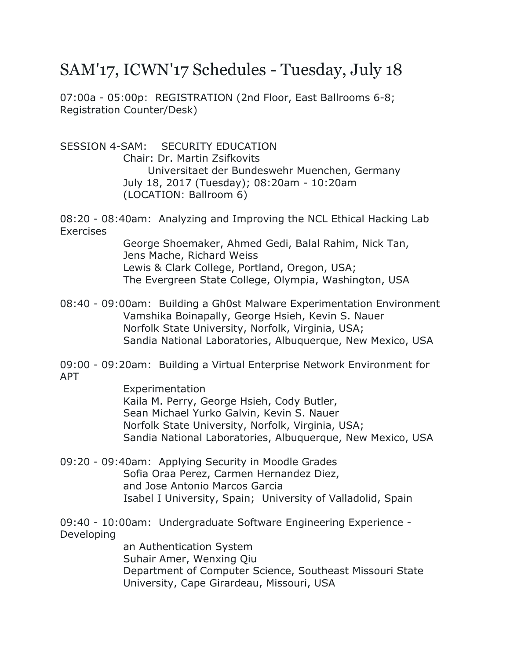## SAM'17, ICWN'17 Schedules - Tuesday, July 18

07:00a - 05:00p: REGISTRATION (2nd Floor, East Ballrooms 6-8; Registration Counter/Desk)

SESSION 4-SAM: SECURITY EDUCATION

 Chair: Dr. Martin Zsifkovits Universitaet der Bundeswehr Muenchen, Germany July 18, 2017 (Tuesday); 08:20am - 10:20am (LOCATION: Ballroom 6)

08:20 - 08:40am: Analyzing and Improving the NCL Ethical Hacking Lab **Exercises** 

> George Shoemaker, Ahmed Gedi, Balal Rahim, Nick Tan, Jens Mache, Richard Weiss Lewis & Clark College, Portland, Oregon, USA; The Evergreen State College, Olympia, Washington, USA

08:40 - 09:00am: Building a Gh0st Malware Experimentation Environment Vamshika Boinapally, George Hsieh, Kevin S. Nauer Norfolk State University, Norfolk, Virginia, USA; Sandia National Laboratories, Albuquerque, New Mexico, USA

09:00 - 09:20am: Building a Virtual Enterprise Network Environment for APT

> Experimentation Kaila M. Perry, George Hsieh, Cody Butler, Sean Michael Yurko Galvin, Kevin S. Nauer Norfolk State University, Norfolk, Virginia, USA; Sandia National Laboratories, Albuquerque, New Mexico, USA

09:20 - 09:40am: Applying Security in Moodle Grades Sofia Oraa Perez, Carmen Hernandez Diez, and Jose Antonio Marcos Garcia Isabel I University, Spain; University of Valladolid, Spain

09:40 - 10:00am: Undergraduate Software Engineering Experience - Developing

> an Authentication System Suhair Amer, Wenxing Qiu Department of Computer Science, Southeast Missouri State University, Cape Girardeau, Missouri, USA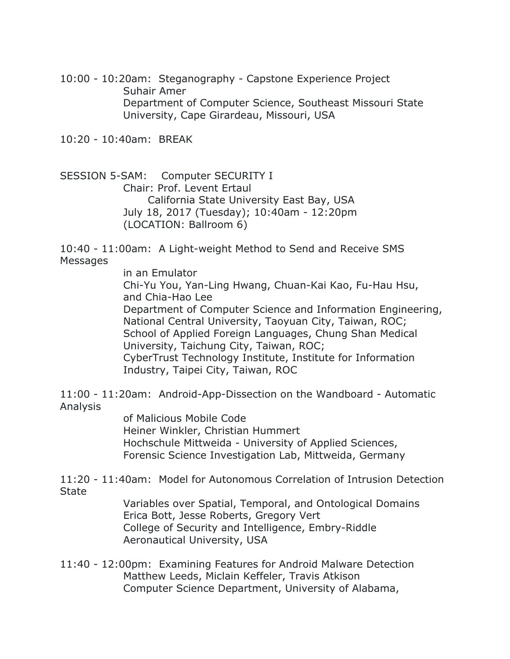10:00 - 10:20am: Steganography - Capstone Experience Project Suhair Amer Department of Computer Science, Southeast Missouri State University, Cape Girardeau, Missouri, USA

10:20 - 10:40am: BREAK

SESSION 5-SAM: Computer SECURITY I Chair: Prof. Levent Ertaul California State University East Bay, USA July 18, 2017 (Tuesday); 10:40am - 12:20pm (LOCATION: Ballroom 6)

10:40 - 11:00am: A Light-weight Method to Send and Receive SMS **Messages** 

in an Emulator

 Chi-Yu You, Yan-Ling Hwang, Chuan-Kai Kao, Fu-Hau Hsu, and Chia-Hao Lee Department of Computer Science and Information Engineering, National Central University, Taoyuan City, Taiwan, ROC; School of Applied Foreign Languages, Chung Shan Medical University, Taichung City, Taiwan, ROC; CyberTrust Technology Institute, Institute for Information Industry, Taipei City, Taiwan, ROC

11:00 - 11:20am: Android-App-Dissection on the Wandboard - Automatic Analysis

> of Malicious Mobile Code Heiner Winkler, Christian Hummert Hochschule Mittweida - University of Applied Sciences, Forensic Science Investigation Lab, Mittweida, Germany

11:20 - 11:40am: Model for Autonomous Correlation of Intrusion Detection **State** 

> Variables over Spatial, Temporal, and Ontological Domains Erica Bott, Jesse Roberts, Gregory Vert College of Security and Intelligence, Embry-Riddle Aeronautical University, USA

11:40 - 12:00pm: Examining Features for Android Malware Detection Matthew Leeds, Miclain Keffeler, Travis Atkison Computer Science Department, University of Alabama,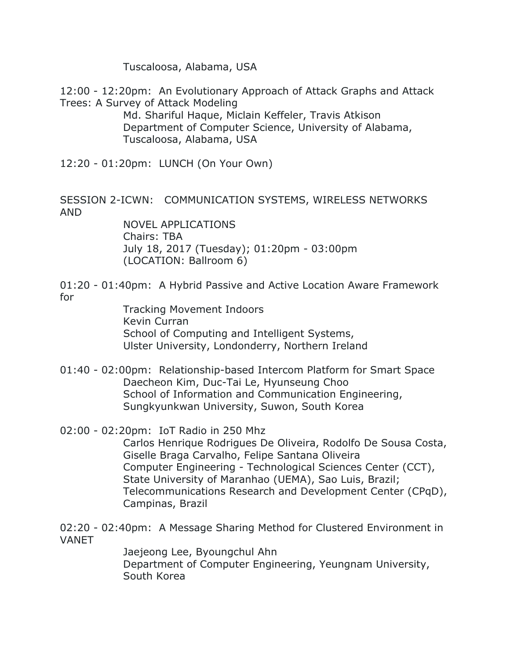Tuscaloosa, Alabama, USA

12:00 - 12:20pm: An Evolutionary Approach of Attack Graphs and Attack Trees: A Survey of Attack Modeling

 Md. Shariful Haque, Miclain Keffeler, Travis Atkison Department of Computer Science, University of Alabama, Tuscaloosa, Alabama, USA

12:20 - 01:20pm: LUNCH (On Your Own)

SESSION 2-ICWN: COMMUNICATION SYSTEMS, WIRELESS NETWORKS AND

> NOVEL APPLICATIONS Chairs: TBA July 18, 2017 (Tuesday); 01:20pm - 03:00pm (LOCATION: Ballroom 6)

01:20 - 01:40pm: A Hybrid Passive and Active Location Aware Framework for

> Tracking Movement Indoors Kevin Curran School of Computing and Intelligent Systems, Ulster University, Londonderry, Northern Ireland

- 01:40 02:00pm: Relationship-based Intercom Platform for Smart Space Daecheon Kim, Duc-Tai Le, Hyunseung Choo School of Information and Communication Engineering, Sungkyunkwan University, Suwon, South Korea
- 02:00 02:20pm: IoT Radio in 250 Mhz

 Carlos Henrique Rodrigues De Oliveira, Rodolfo De Sousa Costa, Giselle Braga Carvalho, Felipe Santana Oliveira Computer Engineering - Technological Sciences Center (CCT), State University of Maranhao (UEMA), Sao Luis, Brazil; Telecommunications Research and Development Center (CPqD), Campinas, Brazil

02:20 - 02:40pm: A Message Sharing Method for Clustered Environment in VANET

> Jaejeong Lee, Byoungchul Ahn Department of Computer Engineering, Yeungnam University, South Korea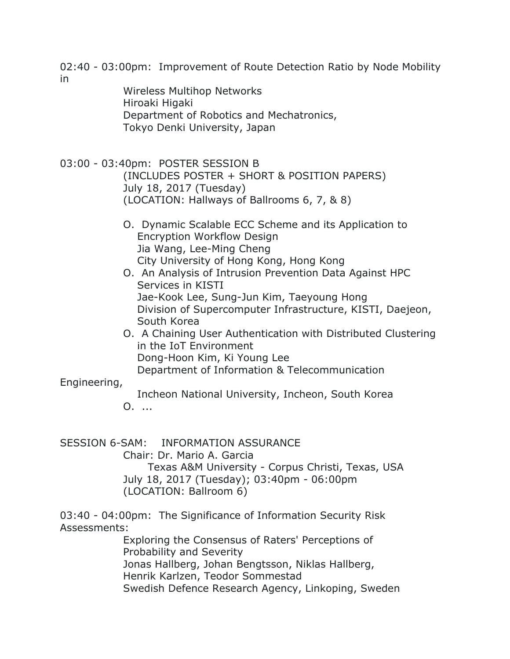02:40 - 03:00pm: Improvement of Route Detection Ratio by Node Mobility in

> Wireless Multihop Networks Hiroaki Higaki Department of Robotics and Mechatronics, Tokyo Denki University, Japan

- 03:00 03:40pm: POSTER SESSION B (INCLUDES POSTER + SHORT & POSITION PAPERS) July 18, 2017 (Tuesday) (LOCATION: Hallways of Ballrooms 6, 7, & 8)
	- O. Dynamic Scalable ECC Scheme and its Application to Encryption Workflow Design Jia Wang, Lee-Ming Cheng City University of Hong Kong, Hong Kong
	- O. An Analysis of Intrusion Prevention Data Against HPC Services in KISTI Jae-Kook Lee, Sung-Jun Kim, Taeyoung Hong Division of Supercomputer Infrastructure, KISTI, Daejeon, South Korea
	- O. A Chaining User Authentication with Distributed Clustering in the IoT Environment Dong-Hoon Kim, Ki Young Lee Department of Information & Telecommunication

Engineering,

Incheon National University, Incheon, South Korea

O. ...

SESSION 6-SAM: INFORMATION ASSURANCE

Chair: Dr. Mario A. Garcia

 Texas A&M University - Corpus Christi, Texas, USA July 18, 2017 (Tuesday); 03:40pm - 06:00pm (LOCATION: Ballroom 6)

03:40 - 04:00pm: The Significance of Information Security Risk Assessments:

 Exploring the Consensus of Raters' Perceptions of Probability and Severity Jonas Hallberg, Johan Bengtsson, Niklas Hallberg, Henrik Karlzen, Teodor Sommestad Swedish Defence Research Agency, Linkoping, Sweden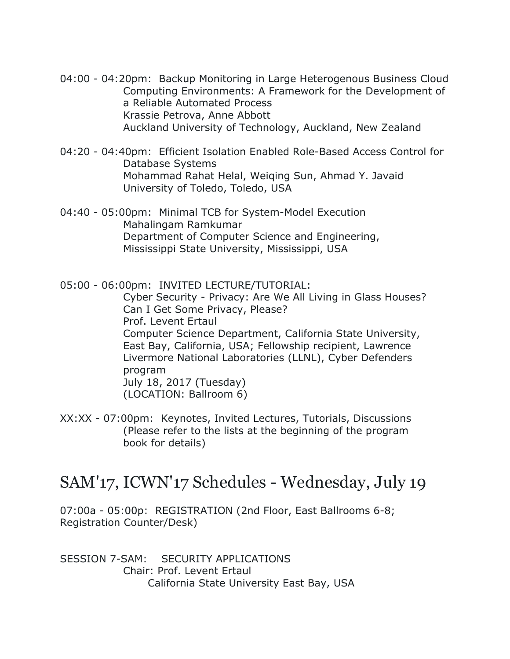- 04:00 04:20pm: Backup Monitoring in Large Heterogenous Business Cloud Computing Environments: A Framework for the Development of a Reliable Automated Process Krassie Petrova, Anne Abbott Auckland University of Technology, Auckland, New Zealand
- 04:20 04:40pm: Efficient Isolation Enabled Role-Based Access Control for Database Systems Mohammad Rahat Helal, Weiqing Sun, Ahmad Y. Javaid University of Toledo, Toledo, USA
- 04:40 05:00pm: Minimal TCB for System-Model Execution Mahalingam Ramkumar Department of Computer Science and Engineering, Mississippi State University, Mississippi, USA

05:00 - 06:00pm: INVITED LECTURE/TUTORIAL: Cyber Security - Privacy: Are We All Living in Glass Houses? Can I Get Some Privacy, Please? Prof. Levent Ertaul Computer Science Department, California State University, East Bay, California, USA; Fellowship recipient, Lawrence Livermore National Laboratories (LLNL), Cyber Defenders program July 18, 2017 (Tuesday) (LOCATION: Ballroom 6)

XX:XX - 07:00pm: Keynotes, Invited Lectures, Tutorials, Discussions (Please refer to the lists at the beginning of the program book for details)

#### SAM'17, ICWN'17 Schedules - Wednesday, July 19

07:00a - 05:00p: REGISTRATION (2nd Floor, East Ballrooms 6-8; Registration Counter/Desk)

SESSION 7-SAM: SECURITY APPLICATIONS Chair: Prof. Levent Ertaul California State University East Bay, USA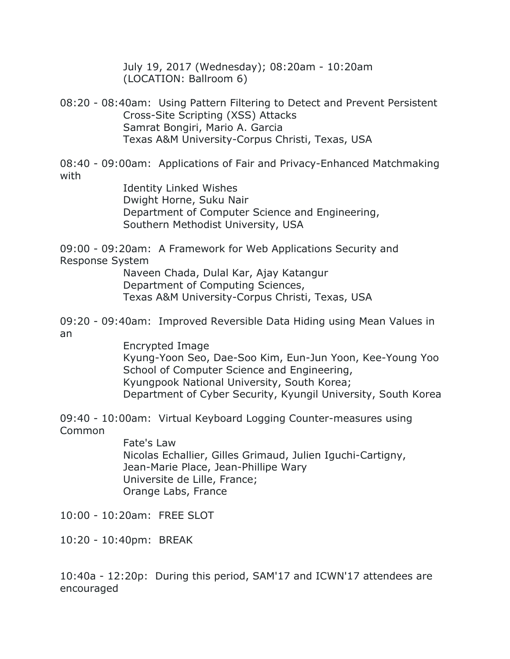July 19, 2017 (Wednesday); 08:20am - 10:20am (LOCATION: Ballroom 6)

08:20 - 08:40am: Using Pattern Filtering to Detect and Prevent Persistent Cross-Site Scripting (XSS) Attacks Samrat Bongiri, Mario A. Garcia Texas A&M University-Corpus Christi, Texas, USA

08:40 - 09:00am: Applications of Fair and Privacy-Enhanced Matchmaking with

 Identity Linked Wishes Dwight Horne, Suku Nair Department of Computer Science and Engineering, Southern Methodist University, USA

09:00 - 09:20am: A Framework for Web Applications Security and Response System

> Naveen Chada, Dulal Kar, Ajay Katangur Department of Computing Sciences, Texas A&M University-Corpus Christi, Texas, USA

09:20 - 09:40am: Improved Reversible Data Hiding using Mean Values in an

> Encrypted Image Kyung-Yoon Seo, Dae-Soo Kim, Eun-Jun Yoon, Kee-Young Yoo School of Computer Science and Engineering, Kyungpook National University, South Korea; Department of Cyber Security, Kyungil University, South Korea

09:40 - 10:00am: Virtual Keyboard Logging Counter-measures using Common

> Fate's Law Nicolas Echallier, Gilles Grimaud, Julien Iguchi-Cartigny, Jean-Marie Place, Jean-Phillipe Wary Universite de Lille, France; Orange Labs, France

10:00 - 10:20am: FREE SLOT

10:20 - 10:40pm: BREAK

10:40a - 12:20p: During this period, SAM'17 and ICWN'17 attendees are encouraged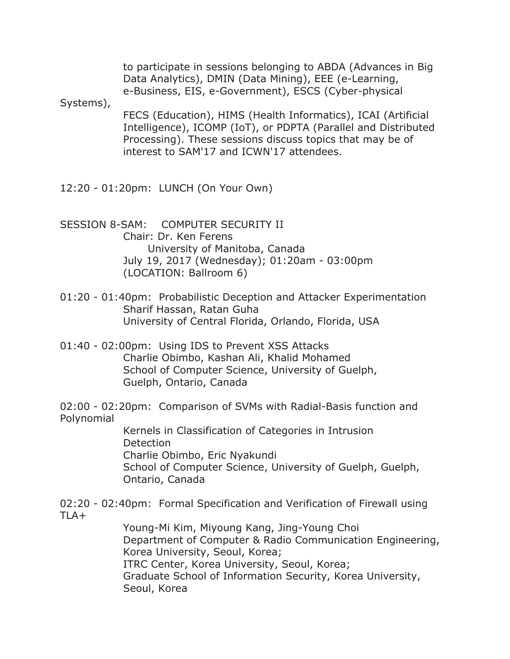to participate in sessions belonging to ABDA (Advances in Big Data Analytics), DMIN (Data Mining), EEE (e-Learning, e-Business, EIS, e-Government), ESCS (Cyber-physical

Systems),

 FECS (Education), HIMS (Health Informatics), ICAI (Artificial Intelligence), ICOMP (IoT), or PDPTA (Parallel and Distributed Processing). These sessions discuss topics that may be of interest to SAM'17 and ICWN'17 attendees.

12:20 - 01:20pm: LUNCH (On Your Own)

SESSION 8-SAM: COMPUTER SECURITY II Chair: Dr. Ken Ferens University of Manitoba, Canada July 19, 2017 (Wednesday); 01:20am - 03:00pm (LOCATION: Ballroom 6)

- 01:20 01:40pm: Probabilistic Deception and Attacker Experimentation Sharif Hassan, Ratan Guha University of Central Florida, Orlando, Florida, USA
- 01:40 02:00pm: Using IDS to Prevent XSS Attacks Charlie Obimbo, Kashan Ali, Khalid Mohamed School of Computer Science, University of Guelph, Guelph, Ontario, Canada

02:00 - 02:20pm: Comparison of SVMs with Radial-Basis function and Polynomial

> Kernels in Classification of Categories in Intrusion Detection Charlie Obimbo, Eric Nyakundi School of Computer Science, University of Guelph, Guelph, Ontario, Canada

02:20 - 02:40pm: Formal Specification and Verification of Firewall using TLA+

> Young-Mi Kim, Miyoung Kang, Jing-Young Choi Department of Computer & Radio Communication Engineering, Korea University, Seoul, Korea; ITRC Center, Korea University, Seoul, Korea; Graduate School of Information Security, Korea University, Seoul, Korea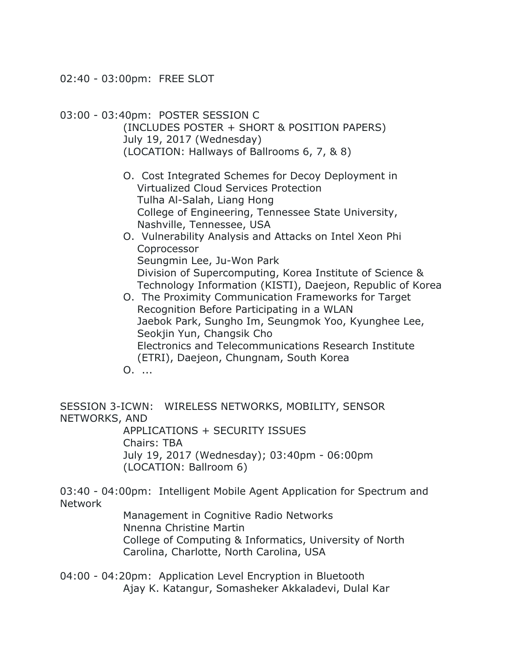02:40 - 03:00pm: FREE SLOT

03:00 - 03:40pm: POSTER SESSION C

 (INCLUDES POSTER + SHORT & POSITION PAPERS) July 19, 2017 (Wednesday) (LOCATION: Hallways of Ballrooms 6, 7, & 8)

- O. Cost Integrated Schemes for Decoy Deployment in Virtualized Cloud Services Protection Tulha Al-Salah, Liang Hong College of Engineering, Tennessee State University, Nashville, Tennessee, USA
- O. Vulnerability Analysis and Attacks on Intel Xeon Phi Coprocessor Seungmin Lee, Ju-Won Park Division of Supercomputing, Korea Institute of Science & Technology Information (KISTI), Daejeon, Republic of Korea
- O. The Proximity Communication Frameworks for Target Recognition Before Participating in a WLAN Jaebok Park, Sungho Im, Seungmok Yoo, Kyunghee Lee, Seokjin Yun, Changsik Cho Electronics and Telecommunications Research Institute (ETRI), Daejeon, Chungnam, South Korea
- O. ...

SESSION 3-ICWN: WIRELESS NETWORKS, MOBILITY, SENSOR NETWORKS, AND

> APPLICATIONS + SECURITY ISSUES Chairs: TBA July 19, 2017 (Wednesday); 03:40pm - 06:00pm (LOCATION: Ballroom 6)

03:40 - 04:00pm: Intelligent Mobile Agent Application for Spectrum and Network

> Management in Cognitive Radio Networks Nnenna Christine Martin College of Computing & Informatics, University of North Carolina, Charlotte, North Carolina, USA

04:00 - 04:20pm: Application Level Encryption in Bluetooth Ajay K. Katangur, Somasheker Akkaladevi, Dulal Kar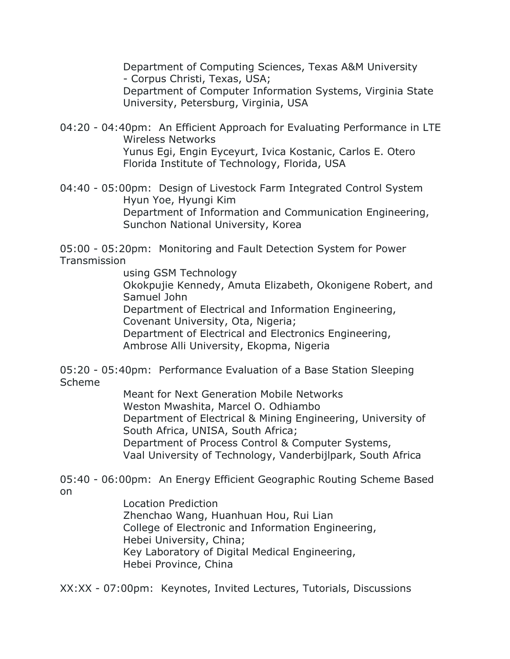Department of Computing Sciences, Texas A&M University - Corpus Christi, Texas, USA; Department of Computer Information Systems, Virginia State University, Petersburg, Virginia, USA

04:20 - 04:40pm: An Efficient Approach for Evaluating Performance in LTE Wireless Networks Yunus Egi, Engin Eyceyurt, Ivica Kostanic, Carlos E. Otero Florida Institute of Technology, Florida, USA

04:40 - 05:00pm: Design of Livestock Farm Integrated Control System Hyun Yoe, Hyungi Kim Department of Information and Communication Engineering, Sunchon National University, Korea

05:00 - 05:20pm: Monitoring and Fault Detection System for Power **Transmission** 

using GSM Technology

 Okokpujie Kennedy, Amuta Elizabeth, Okonigene Robert, and Samuel John

Department of Electrical and Information Engineering,

Covenant University, Ota, Nigeria;

Department of Electrical and Electronics Engineering,

Ambrose Alli University, Ekopma, Nigeria

05:20 - 05:40pm: Performance Evaluation of a Base Station Sleeping Scheme

> Meant for Next Generation Mobile Networks Weston Mwashita, Marcel O. Odhiambo Department of Electrical & Mining Engineering, University of South Africa, UNISA, South Africa; Department of Process Control & Computer Systems, Vaal University of Technology, Vanderbijlpark, South Africa

05:40 - 06:00pm: An Energy Efficient Geographic Routing Scheme Based on

> Location Prediction Zhenchao Wang, Huanhuan Hou, Rui Lian College of Electronic and Information Engineering, Hebei University, China; Key Laboratory of Digital Medical Engineering, Hebei Province, China

XX:XX - 07:00pm: Keynotes, Invited Lectures, Tutorials, Discussions